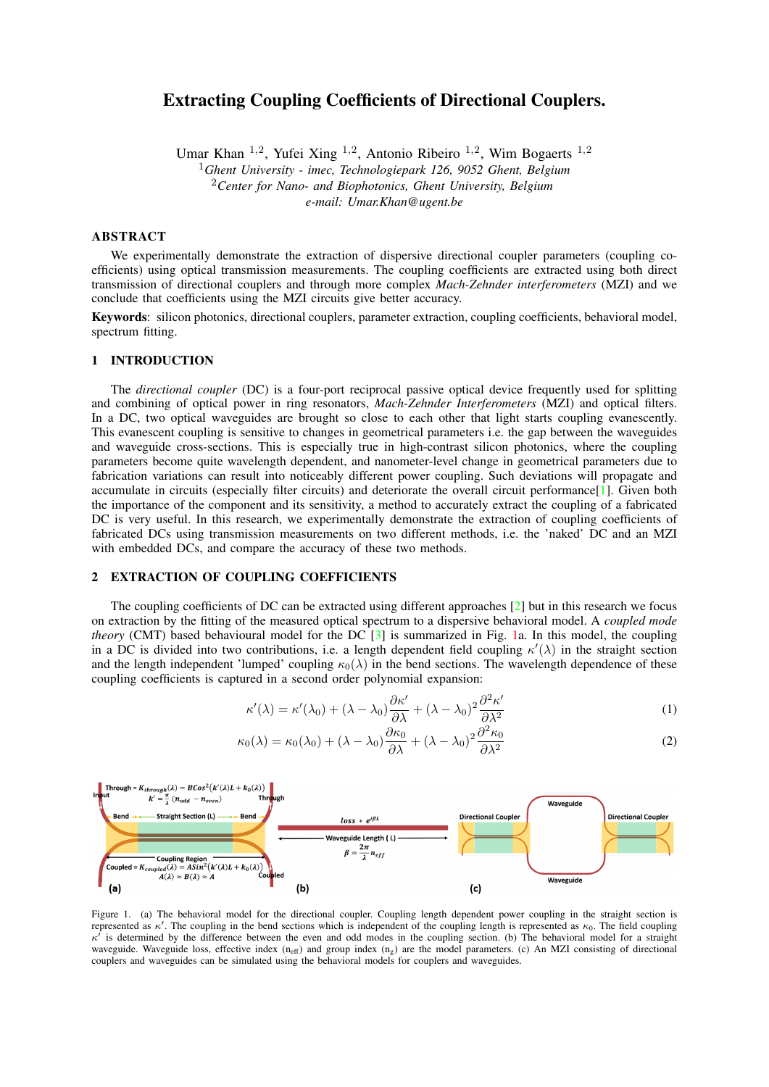# Extracting Coupling Coefficients of Directional Couplers.

Umar Khan <sup>1,2</sup>, Yufei Xing <sup>1,2</sup>, Antonio Ribeiro <sup>1,2</sup>, Wim Bogaerts <sup>1,2</sup>

<sup>1</sup>*Ghent University - imec, Technologiepark 126, 9052 Ghent, Belgium*

<sup>2</sup>*Center for Nano- and Biophotonics, Ghent University, Belgium*

*e-mail: Umar.Khan@ugent.be*

# ABSTRACT

We experimentally demonstrate the extraction of dispersive directional coupler parameters (coupling coefficients) using optical transmission measurements. The coupling coefficients are extracted using both direct transmission of directional couplers and through more complex *Mach-Zehnder interferometers* (MZI) and we conclude that coefficients using the MZI circuits give better accuracy.

Keywords: silicon photonics, directional couplers, parameter extraction, coupling coefficients, behavioral model, spectrum fitting.

# 1 INTRODUCTION

The *directional coupler* (DC) is a four-port reciprocal passive optical device frequently used for splitting and combining of optical power in ring resonators, *Mach-Zehnder Interferometers* (MZI) and optical filters. In a DC, two optical waveguides are brought so close to each other that light starts coupling evanescently. This evanescent coupling is sensitive to changes in geometrical parameters i.e. the gap between the waveguides and waveguide cross-sections. This is especially true in high-contrast silicon photonics, where the coupling parameters become quite wavelength dependent, and nanometer-level change in geometrical parameters due to fabrication variations can result into noticeably different power coupling. Such deviations will propagate and accumulate in circuits (especially filter circuits) and deteriorate the overall circuit performance[\[1\]](#page-2-0). Given both the importance of the component and its sensitivity, a method to accurately extract the coupling of a fabricated DC is very useful. In this research, we experimentally demonstrate the extraction of coupling coefficients of fabricated DCs using transmission measurements on two different methods, i.e. the 'naked' DC and an MZI with embedded DCs, and compare the accuracy of these two methods.

## 2 EXTRACTION OF COUPLING COEFFICIENTS

The coupling coefficients of DC can be extracted using different approaches [\[2\]](#page-2-1) but in this research we focus on extraction by the fitting of the measured optical spectrum to a dispersive behavioral model. A *coupled mode theory* (CMT) based behavioural model for the DC [\[3\]](#page-2-2) is summarized in Fig. [1a](#page-0-0). In this model, the coupling in a DC is divided into two contributions, i.e. a length dependent field coupling  $\kappa'(\lambda)$  in the straight section and the length independent 'lumped' coupling  $\kappa_0(\lambda)$  in the bend sections. The wavelength dependence of these coupling coefficients is captured in a second order polynomial expansion:

$$
\kappa'(\lambda) = \kappa'(\lambda_0) + (\lambda - \lambda_0) \frac{\partial \kappa'}{\partial \lambda} + (\lambda - \lambda_0)^2 \frac{\partial^2 \kappa'}{\partial \lambda^2}
$$
 (1)

$$
\kappa_0(\lambda) = \kappa_0(\lambda_0) + (\lambda - \lambda_0) \frac{\partial \kappa_0}{\partial \lambda} + (\lambda - \lambda_0)^2 \frac{\partial^2 \kappa_0}{\partial \lambda^2}
$$
 (2)



<span id="page-0-0"></span>Figure 1. (a) The behavioral model for the directional coupler. Coupling length dependent power coupling in the straight section is represented as  $\kappa'$ . The coupling in the bend sections which is independent of the coupling length is represented as  $\kappa_0$ . The field coupling  $\kappa^i$  is determined by the difference between the even and odd modes in the coupling section. (b) The behavioral model for a straight waveguide. Waveguide loss, effective index  $(n_{\rm eff})$  and group index  $(n_{\rm g})$  are the model parameters. (c) An MZI consisting of directional couplers and waveguides can be simulated using the behavioral models for couplers and waveguides.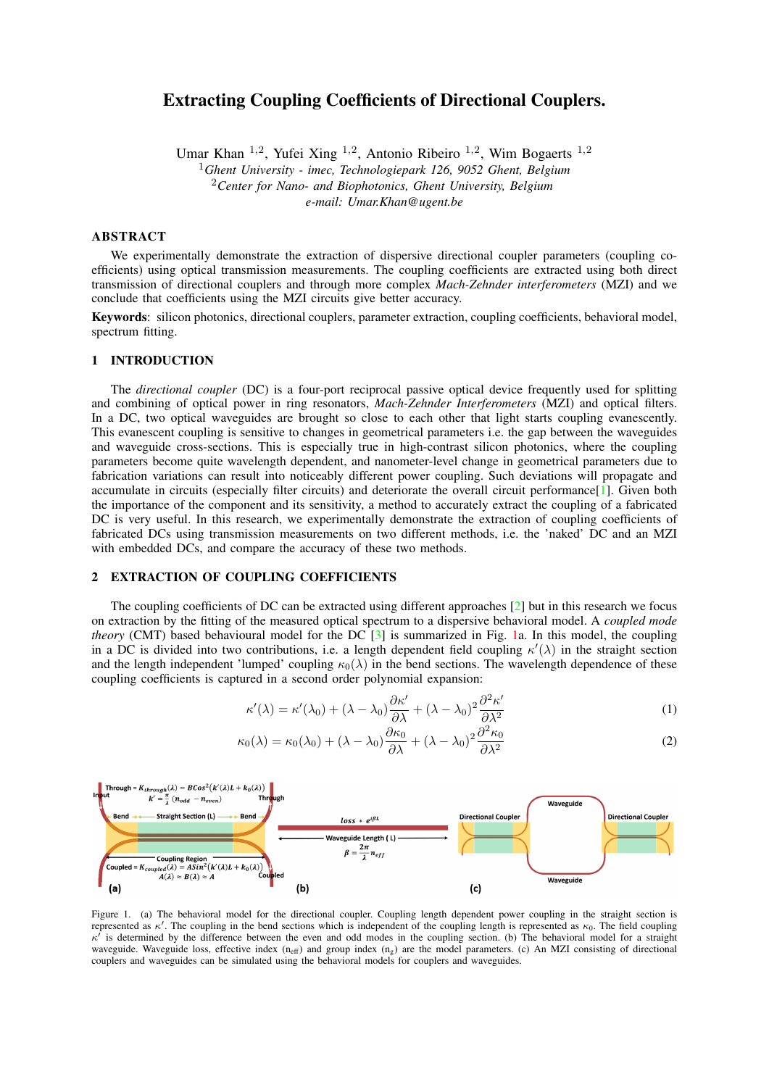We have neglected the higher order terms as they do not add much to the extraction accuracy but do complicate the fitting process. The behavioural model was implemented in the circuit simulator CAPHE from Luceda Photonics<sup>[\[4\]](#page-2-3)</sup>. This model has six model parameters to be fitted, i.e.  $\kappa'$ ,  $\frac{\theta}{\varphi}$ ,  $\frac{\theta^2}{\varphi^2}$ ,  $\kappa_0$ ,  $\frac{\theta}{\varphi}$  and  $\frac{\theta^2}{\varphi^2}$ .

The MZI circuit consists of a splitter, a combiner and two waveguide arms that connect the splitter to the combiner, Fig. [1c](#page-0-0). For the waveguide arms the model has two parameters: the effective index  $n_{\text{eff}}$  and the group  $n_g$  index at a reference wavelength  $\lambda_0$ , shown in Fig. [1b](#page-0-0). This results in first-order wavelength dispersion of the effective index:

$$
n_{eff}(\lambda) = n_{eff} - (\lambda - \lambda_0) \cdot \frac{n_g - n_{eff}}{\lambda_0}
$$
 (3)

So, fitting the MZI spectrum introduces two additional model parameters ( $n_{\text{eff}}$  and  $n_{\text{g}}$ ) on top of the six DC model parameters. The extraction using both the naked DC and the MZI circuit is explained below.

### 2.1 Extraction using 'Naked' Directional Couplers

DCs of different coupling lengths with same waveguide cross-sections  $(0.45 \mu m \times 0.22 \mu m)$ , coupling gaps (0.25 $\mu$ m) and a bend radius of 5 $\mu$ m were designed to extract the field ( $\kappa'$ ) and lumped ( $\kappa_0$ ) coupling coefficients. Cross-sections, coupling gaps and bending radius were kept same to keep coupling coefficients same for all the devices. The coupling lengths were varied to separate the contributions from the straight and the bend sections, as a measurement of a single coupling length cannot distinguish between the two. Designed devices were fabricated using e-beam lithography through the Australian Silicon Photonics prototyping service at RMIT Melbourne. Please note that fabricated devices were air-clad from the top.

Fabricated DCs were optically measured using a tunable laser and a photo-detector in a clean-room environment. Measured spectra of four devices with coupling lengths of 10, 20, 30 and 40  $\mu m$  were fitted simultaneously to the CAPHE model shown in Fig. [1a](#page-0-0) using the *non-linear least-squares minimization and curve-fitting* (lmfit) tool for Python. The fitting was performed for same field  $(\kappa')$  and lumped  $(\kappa_0)$  coupling coefficients as bending radii, cross-sections and coupling gaps were the same for all the fitted devices. The measured and the fitted spectra are shown in Fig. [2c](#page-1-0) below. Ideally, two spectra can also be used for fitting but we have used four for increased robustness and accuracy. The accuracy can further be improved by fitting both through and cross ports simultaneously. The extracted dispersive coupling coefficients are shown in Fig. [2a](#page-1-0) and [2b](#page-1-0). It can be noticed that the coupling coefficients increase with increasing wavelength according to our expectations.

#### 2.2 Extraction using Mach-Zehnder Interferometers

We designed MZI circuits having the same DC as splitter and combiner to extract the coupling coefficients. Again, we used circuits with couplers of different lengths keeping waveguide cross-sections  $(0.45 \mu m \times 0.22 \mu m)$ , coupling gap  $(0.3\mu m)$  and bend radius (5 $\mu m$ ) the same. The differential delay length ( $\Delta L$ ) between arms of the MZI was designed to be 150  $\mu$ m to have multiple resonance features within the measurement range (1.5 $\mu$ m  $-1.59\mu m$ ) for increased fitting accuracy. Fabrication imperfections were taken into account while generating the layout of the designed MZI structures, Figure [3a](#page-2-4). The couplers and waveguide arms were kept as close to each other as possible to make them less prone to fabrication variations. These MZI devices were fabricated using the imec passive silicon photonics process through the Europractice *multi-project wafer* (MPW) service. It should be mentioned here that fabricated devices have a silica  $(SiO<sub>2</sub>)$  top cladding in contrast to air top cladding for DCs fabricated by the e-beam lithography. The gap between the waveguides was chosen to be 0.3  $\mu$ m instead of 0.25 $\mu$ m in order to somewhat compensate the effect of this cladding difference.

The fabricated MZI devices were optically measured using the tunable laser and a photo-detector in a cleanroom environment. The measured spectra for three MZI structures having DCs of coupling lengths 1.0, 7.3 and 36.1  $\mu$ m were simultaneously fitted to the CAPHE circuit model using the above mentioned lmfit tool to



<span id="page-1-0"></span>Figure 2. (a) Extracted field coupling coefficient using a 'naked' directional coupler. (b) Extracted lumped coupling coefficient. (c) Measured and the fitted spectra from the coupled port of the directional couplers with coupling lengths of 10, 20, 30 and 40  $\mu$ m.